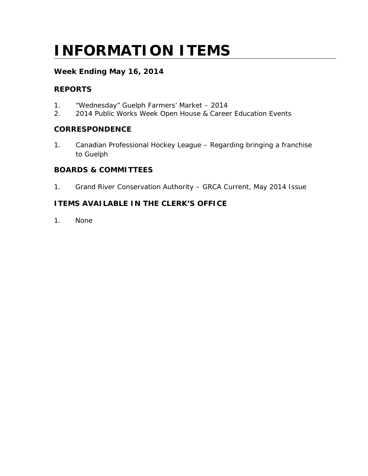# **INFORMATION ITEMS**

# **Week Ending May 16, 2014**

# **REPORTS**

- 1. "Wednesday" Guelph Farmers' Market 2014
- 2. 2014 Public Works Week Open House & Career Education Events

## **CORRESPONDENCE**

1. Canadian Professional Hockey League – Regarding bringing a franchise to Guelph

# **BOARDS & COMMITTEES**

1. Grand River Conservation Authority – GRCA Current, May 2014 Issue

# **ITEMS AVAILABLE IN THE CLERK'S OFFICE**

1. None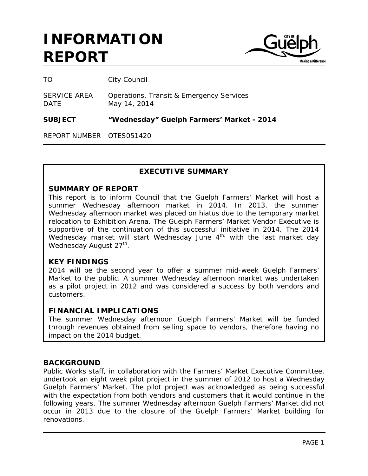

TO City Council

SERVICE AREA Operations, Transit & Emergency Services DATE May 14, 2014

**SUBJECT "Wednesday" Guelph Farmers' Market - 2014**

REPORT NUMBER OTES051420

## **EXECUTIVE SUMMARY**

#### **SUMMARY OF REPORT**

This report is to inform Council that the Guelph Farmers' Market will host a summer Wednesday afternoon market in 2014. In 2013, the summer Wednesday afternoon market was placed on hiatus due to the temporary market relocation to Exhibition Arena. The Guelph Farmers' Market Vendor Executive is supportive of the continuation of this successful initiative in 2014. The 2014 Wednesday market will start Wednesday June  $4<sup>th</sup>$  with the last market day Wednesday August 27<sup>th</sup>.

#### **KEY FINDINGS**

2014 will be the second year to offer a summer mid-week Guelph Farmers' Market to the public. A summer Wednesday afternoon market was undertaken as a pilot project in 2012 and was considered a success by both vendors and customers.

## **FINANCIAL IMPLICATIONS**

The summer Wednesday afternoon Guelph Farmers' Market will be funded through revenues obtained from selling space to vendors, therefore having no impact on the 2014 budget.

#### **BACKGROUND**

Public Works staff, in collaboration with the Farmers' Market Executive Committee, undertook an eight week pilot project in the summer of 2012 to host a Wednesday Guelph Farmers' Market. The pilot project was acknowledged as being successful with the expectation from both vendors and customers that it would continue in the following years. The summer Wednesday afternoon Guelph Farmers' Market did not occur in 2013 due to the closure of the Guelph Farmers' Market building for renovations.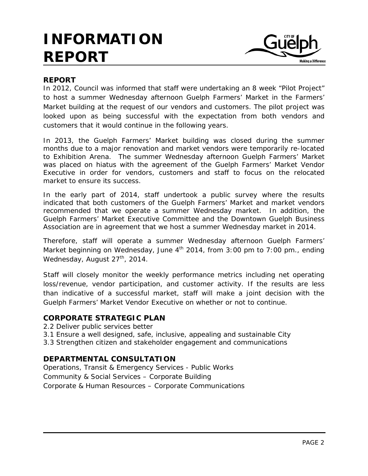

## **REPORT**

In 2012, Council was informed that staff were undertaking an 8 week "Pilot Project" to host a summer Wednesday afternoon Guelph Farmers' Market in the Farmers' Market building at the request of our vendors and customers. The pilot project was looked upon as being successful with the expectation from both vendors and customers that it would continue in the following years.

In 2013, the Guelph Farmers' Market building was closed during the summer months due to a major renovation and market vendors were temporarily re-located to Exhibition Arena. The summer Wednesday afternoon Guelph Farmers' Market was placed on hiatus with the agreement of the Guelph Farmers' Market Vendor Executive in order for vendors, customers and staff to focus on the relocated market to ensure its success.

In the early part of 2014, staff undertook a public survey where the results indicated that both customers of the Guelph Farmers' Market and market vendors recommended that we operate a summer Wednesday market. In addition, the Guelph Farmers' Market Executive Committee and the Downtown Guelph Business Association are in agreement that we host a summer Wednesday market in 2014.

Therefore, staff will operate a summer Wednesday afternoon Guelph Farmers' Market beginning on Wednesday, June  $4^{th}$  2014, from 3:00 pm to 7:00 pm., ending Wednesday, August  $27<sup>th</sup>$ , 2014.

Staff will closely monitor the weekly performance metrics including net operating loss/revenue, vendor participation, and customer activity. If the results are less than indicative of a successful market, staff will make a joint decision with the Guelph Farmers' Market Vendor Executive on whether or not to continue.

## **CORPORATE STRATEGIC PLAN**

2.2 Deliver public services better

3.1 Ensure a well designed, safe, inclusive, appealing and sustainable City

3.3 Strengthen citizen and stakeholder engagement and communications

## **DEPARTMENTAL CONSULTATION**

Operations, Transit & Emergency Services - Public Works Community & Social Services – Corporate Building Corporate & Human Resources – Corporate Communications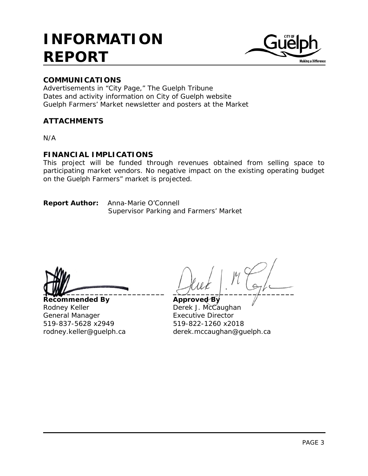

# **COMMUNICATIONS**

Advertisements in "City Page," The Guelph Tribune Dates and activity information on City of Guelph website Guelph Farmers' Market newsletter and posters at the Market

# **ATTACHMENTS**

N/A

# **FINANCIAL IMPLICATIONS**

This project will be funded through revenues obtained from selling space to participating market vendors. No negative impact on the existing operating budget on the Guelph Farmers" market is projected.

**Report Author:** Anna-Marie O'Connell Supervisor Parking and Farmers' Market

**Recommended By Approved By** Rodney Keller **Derek J. McCaughan** General Manager **Executive Director** 519-837-5628 x2949 519-822-1260 x2018

**\_\_\_\_\_\_\_\_\_\_\_\_\_\_\_\_\_\_\_\_\_\_\_\_\_\_ \_\_\_\_\_\_\_\_\_\_\_\_\_\_\_\_\_\_\_\_\_\_\_\_\_\_**

rodney.keller@guelph.ca derek.mccaughan@guelph.ca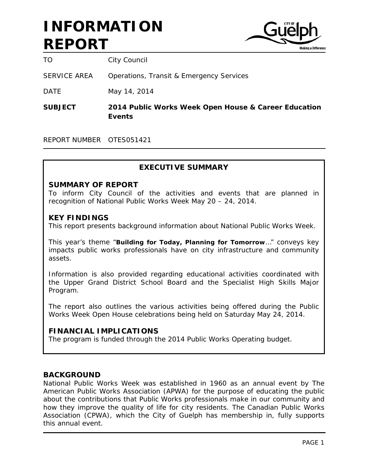

TO City Council

SERVICE AREA Operations, Transit & Emergency Services

DATE May 14, 2014

**SUBJECT 2014 Public Works Week Open House & Career Education Events**

REPORT NUMBER OTES051421

# **EXECUTIVE SUMMARY**

#### **SUMMARY OF REPORT**

To inform City Council of the activities and events that are planned in recognition of National Public Works Week May 20 – 24, 2014.

#### **KEY FINDINGS**

This report presents background information about National Public Works Week.

This year's theme "**Building for Today, Planning for Tomorrow**…" conveys key impacts public works professionals have on city infrastructure and community assets.

Information is also provided regarding educational activities coordinated with the Upper Grand District School Board and the Specialist High Skills Major Program.

The report also outlines the various activities being offered during the Public Works Week Open House celebrations being held on Saturday May 24, 2014.

## **FINANCIAL IMPLICATIONS**

The program is funded through the 2014 Public Works Operating budget.

## **BACKGROUND**

National Public Works Week was established in 1960 as an annual event by The American Public Works Association (APWA) for the purpose of educating the public about the contributions that Public Works professionals make in our community and how they improve the quality of life for city residents. The Canadian Public Works Association (CPWA), which the City of Guelph has membership in, fully supports this annual event.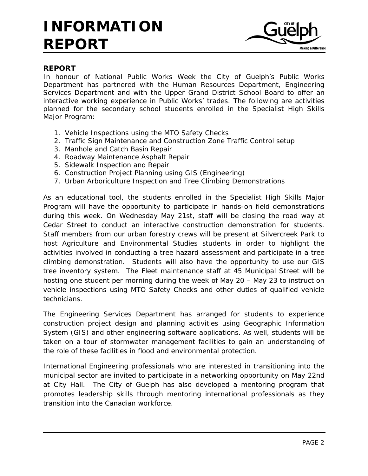

# **REPORT**

In honour of National Public Works Week the City of Guelph's Public Works Department has partnered with the Human Resources Department, Engineering Services Department and with the Upper Grand District School Board to offer an interactive working experience in Public Works' trades. The following are activities planned for the secondary school students enrolled in the Specialist High Skills Major Program:

- 1. Vehicle Inspections using the MTO Safety Checks
- 2. Traffic Sign Maintenance and Construction Zone Traffic Control setup
- 3. Manhole and Catch Basin Repair
- 4. Roadway Maintenance Asphalt Repair
- 5. Sidewalk Inspection and Repair
- 6. Construction Project Planning using GIS (Engineering)
- 7. Urban Arboriculture Inspection and Tree Climbing Demonstrations

As an educational tool, the students enrolled in the Specialist High Skills Major Program will have the opportunity to participate in hands-on field demonstrations during this week. On Wednesday May 21st, staff will be closing the road way at Cedar Street to conduct an interactive construction demonstration for students. Staff members from our urban forestry crews will be present at Silvercreek Park to host Agriculture and Environmental Studies students in order to highlight the activities involved in conducting a tree hazard assessment and participate in a tree climbing demonstration. Students will also have the opportunity to use our GIS tree inventory system. The Fleet maintenance staff at 45 Municipal Street will be hosting one student per morning during the week of May 20 – May 23 to instruct on vehicle inspections using MTO Safety Checks and other duties of qualified vehicle technicians.

The Engineering Services Department has arranged for students to experience construction project design and planning activities using Geographic Information System (GIS) and other engineering software applications. As well, students will be taken on a tour of stormwater management facilities to gain an understanding of the role of these facilities in flood and environmental protection.

International Engineering professionals who are interested in transitioning into the municipal sector are invited to participate in a networking opportunity on May 22nd at City Hall. The City of Guelph has also developed a mentoring program that promotes leadership skills through mentoring international professionals as they transition into the Canadian workforce.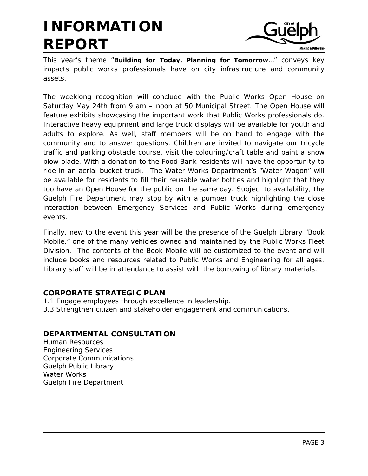

This year's theme "**Building for Today, Planning for Tomorrow**…" conveys key impacts public works professionals have on city infrastructure and community assets.

The weeklong recognition will conclude with the Public Works Open House on Saturday May 24th from 9 am – noon at 50 Municipal Street. The Open House will feature exhibits showcasing the important work that Public Works professionals do. Interactive heavy equipment and large truck displays will be available for youth and adults to explore. As well, staff members will be on hand to engage with the community and to answer questions. Children are invited to navigate our tricycle traffic and parking obstacle course, visit the colouring/craft table and paint a snow plow blade. With a donation to the Food Bank residents will have the opportunity to ride in an aerial bucket truck. The Water Works Department's "Water Wagon" will be available for residents to fill their reusable water bottles and highlight that they too have an Open House for the public on the same day. Subject to availability, the Guelph Fire Department may stop by with a pumper truck highlighting the close interaction between Emergency Services and Public Works during emergency events.

Finally, new to the event this year will be the presence of the Guelph Library "Book Mobile," one of the many vehicles owned and maintained by the Public Works Fleet Division. The contents of the Book Mobile will be customized to the event and will include books and resources related to Public Works and Engineering for all ages. Library staff will be in attendance to assist with the borrowing of library materials.

# **CORPORATE STRATEGIC PLAN**

- 1.1 Engage employees through excellence in leadership.
- 3.3 Strengthen citizen and stakeholder engagement and communications.

# **DEPARTMENTAL CONSULTATION**

Human Resources Engineering Services Corporate Communications Guelph Public Library Water Works Guelph Fire Department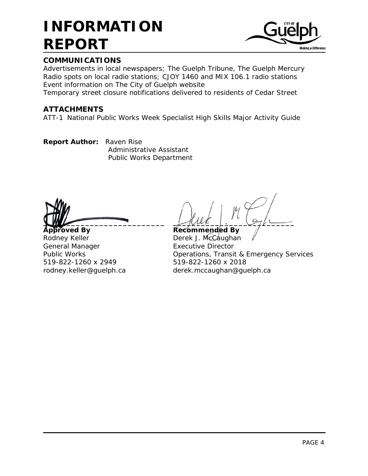

# **COMMUNICATIONS**

Advertisements in local newspapers; The Guelph Tribune, The Guelph Mercury Radio spots on local radio stations; CJOY 1460 and MIX 106.1 radio stations Event information on The City of Guelph website

Temporary street closure notifications delivered to residents of Cedar Street

# **ATTACHMENTS**

ATT-1 National Public Works Week Specialist High Skills Major Activity Guide

**Report Author:** Raven Rise Administrative Assistant Public Works Department

**Approved By Recommended By** Rodney Keller **Derek J. McCaughan** General Manager **Executive Director** 519-822-1260 x 2949 519-822-1260 x 2018

 $\frac{1}{2}$   $\frac{1}{2}$   $\frac{1}{2}$   $\frac{1}{2}$   $\frac{1}{2}$   $\frac{1}{2}$   $\frac{1}{2}$   $\frac{1}{2}$ 

Public Works Operations, Transit & Emergency Services rodney.keller@guelph.ca derek.mccaughan@guelph.ca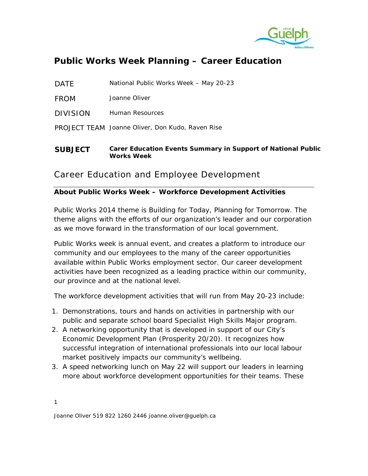

DATF National Public Works Week – May 20-23

FROM Joanne Oliver

DIVISION Human Resources

PROJECT TEAM Joanne Oliver, Don Kudo, Raven Rise

**SUBJECT Carer Education Events Summary in Support of National Public Works Week**

# Career Education and Employee Development

## **About Public Works Week – Workforce Development Activities**

Public Works 2014 theme is Building for Today, Planning for Tomorrow. The theme aligns with the efforts of our organization's leader and our corporation as we move forward in the transformation of our local government.

Public Works week is annual event, and creates a platform to introduce our community and our employees to the many of the career opportunities available within Public Works employment sector. Our career development activities have been recognized as a leading practice within our community, our province and at the national level.

The workforce development activities that will run from May 20-23 include:

- 1. Demonstrations, tours and hands on activities in partnership with our public and separate school board Specialist High Skills Major program.
- 2. A networking opportunity that is developed in support of our City's Economic Development Plan (Prosperity 20/20). It recognizes how successful integration of international professionals into our local labour market positively impacts our community's wellbeing.
- 3. A speed networking lunch on May 22 will support our leaders in learning more about workforce development opportunities for their teams. These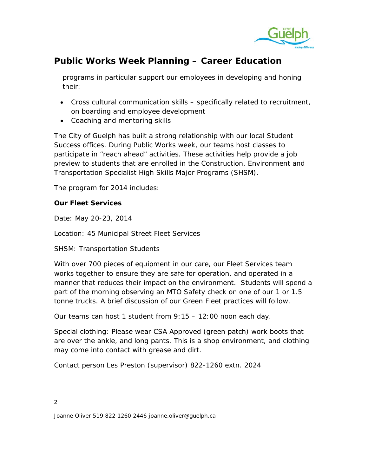

programs in particular support our employees in developing and honing their:

- Cross cultural communication skills specifically related to recruitment, on boarding and employee development
- Coaching and mentoring skills

The City of Guelph has built a strong relationship with our local Student Success offices. During Public Works week, our teams host classes to participate in "reach ahead" activities. These activities help provide a job preview to students that are enrolled in the Construction, Environment and Transportation Specialist High Skills Major Programs (SHSM).

The program for 2014 includes:

## **Our Fleet Services**

Date: May 20-23, 2014

Location: 45 Municipal Street Fleet Services

SHSM: Transportation Students

With over 700 pieces of equipment in our care, our Fleet Services team works together to ensure they are safe for operation, and operated in a manner that reduces their impact on the environment. Students will spend a part of the morning observing an MTO Safety check on one of our 1 or 1.5 tonne trucks. A brief discussion of our Green Fleet practices will follow.

Our teams can host 1 student from 9:15 – 12:00 noon each day.

Special clothing: Please wear CSA Approved (green patch) work boots that are over the ankle, and long pants. This is a shop environment, and clothing may come into contact with grease and dirt.

Contact person Les Preston (supervisor) 822-1260 extn. 2024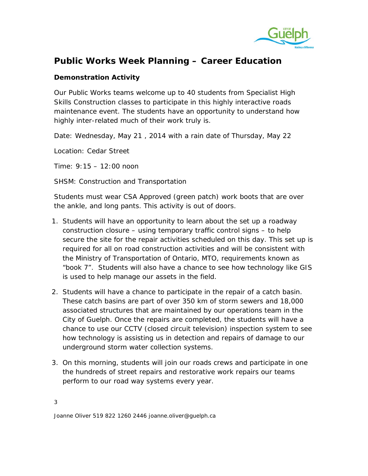

#### **Demonstration Activity**

Our Public Works teams welcome up to 40 students from Specialist High Skills Construction classes to participate in this highly interactive roads maintenance event. The students have an opportunity to understand how highly inter-related much of their work truly is.

Date: Wednesday, May 21 , 2014 with a rain date of Thursday, May 22

Location: Cedar Street

Time: 9:15 – 12:00 noon

SHSM: Construction and Transportation

Students must wear CSA Approved (green patch) work boots that are over the ankle, and long pants. This activity is out of doors.

- 1. Students will have an opportunity to learn about the set up a roadway construction closure – using temporary traffic control signs – to help secure the site for the repair activities scheduled on this day. This set up is required for all on road construction activities and will be consistent with the Ministry of Transportation of Ontario, MTO, requirements known as "book 7". Students will also have a chance to see how technology like GIS is used to help manage our assets in the field.
- 2. Students will have a chance to participate in the repair of a catch basin. These catch basins are part of over 350 km of storm sewers and 18,000 associated structures that are maintained by our operations team in the City of Guelph. Once the repairs are completed, the students will have a chance to use our CCTV (closed circuit television) inspection system to see how technology is assisting us in detection and repairs of damage to our underground storm water collection systems.
- 3. On this morning, students will join our roads crews and participate in one the hundreds of street repairs and restorative work repairs our teams perform to our road way systems every year.

3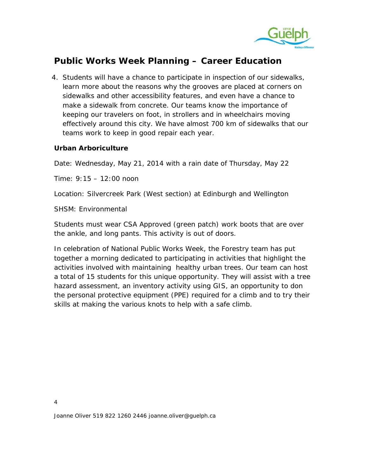

4. Students will have a chance to participate in inspection of our sidewalks, learn more about the reasons why the grooves are placed at corners on sidewalks and other accessibility features, and even have a chance to make a sidewalk from concrete. Our teams know the importance of keeping our travelers on foot, in strollers and in wheelchairs moving effectively around this city. We have almost 700 km of sidewalks that our teams work to keep in good repair each year.

#### **Urban Arboriculture**

Date: Wednesday, May 21, 2014 with a rain date of Thursday, May 22

Time: 9:15 – 12:00 noon

Location: Silvercreek Park (West section) at Edinburgh and Wellington

SHSM: Environmental

Students must wear CSA Approved (green patch) work boots that are over the ankle, and long pants. This activity is out of doors.

In celebration of National Public Works Week, the Forestry team has put together a morning dedicated to participating in activities that highlight the activities involved with maintaining healthy urban trees. Our team can host a total of 15 students for this unique opportunity. They will assist with a tree hazard assessment, an inventory activity using GIS, an opportunity to don the personal protective equipment (PPE) required for a climb and to try their skills at making the various knots to help with a safe climb.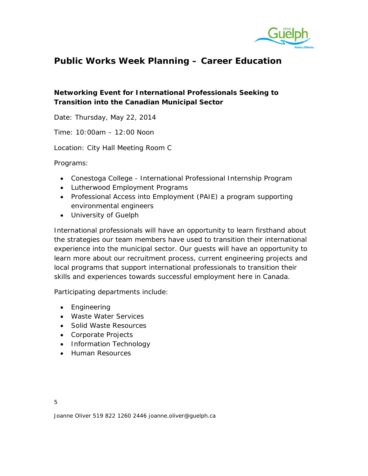

# **Networking Event for International Professionals Seeking to Transition into the Canadian Municipal Sector**

Date: Thursday, May 22, 2014

Time: 10:00am – 12:00 Noon

Location: City Hall Meeting Room C

Programs:

- Conestoga College International Professional Internship Program
- Lutherwood Employment Programs
- Professional Access into Employment (PAIE) a program supporting environmental engineers
- University of Guelph

International professionals will have an opportunity to learn firsthand about the strategies our team members have used to transition their international experience into the municipal sector. Our guests will have an opportunity to learn more about our recruitment process, current engineering projects and local programs that support international professionals to transition their skills and experiences towards successful employment here in Canada.

Participating departments include:

- Engineering
- Waste Water Services
- Solid Waste Resources
- Corporate Projects
- Information Technology
- Human Resources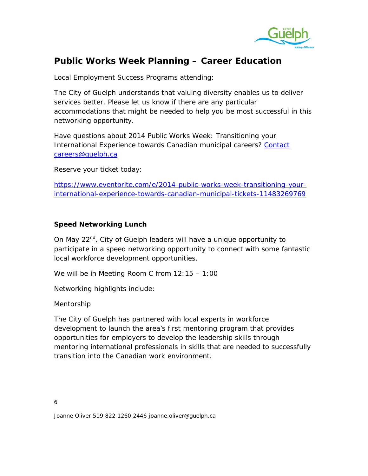

Local Employment Success Programs attending:

The City of Guelph understands that valuing diversity enables us to deliver services better. Please let us know if there are any particular accommodations that might be needed to help you be most successful in this networking opportunity.

Have questions about 2014 Public Works Week: Transitioning your International Experience towards Canadian municipal careers? Contact [careers@guelph.ca](mailto:Contact%20careers@guelph.ca)

Reserve your ticket today:

[https://www.eventbrite.com/e/2014-public-works-week-transitioning-your](https://www.eventbrite.com/e/2014-public-works-week-transitioning-your-international-experience-towards-canadian-municipal-tickets-11483269769)[international-experience-towards-canadian-municipal-tickets-11483269769](https://www.eventbrite.com/e/2014-public-works-week-transitioning-your-international-experience-towards-canadian-municipal-tickets-11483269769)

#### **Speed Networking Lunch**

On May 22<sup>nd</sup>, City of Guelph leaders will have a unique opportunity to participate in a speed networking opportunity to connect with some fantastic local workforce development opportunities.

We will be in Meeting Room C from 12:15 – 1:00

Networking highlights include:

#### **Mentorship**

The City of Guelph has partnered with local experts in workforce development to launch the area's first mentoring program that provides opportunities for employers to develop the leadership skills through mentoring international professionals in skills that are needed to successfully transition into the Canadian work environment.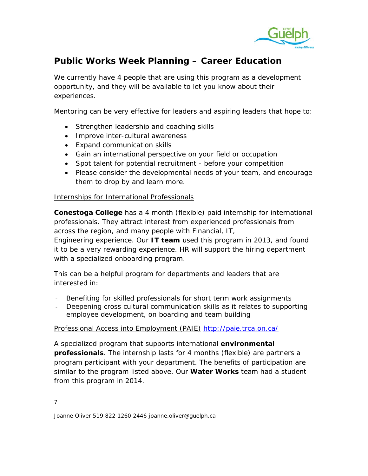

We currently have 4 people that are using this program as a development opportunity, and they will be available to let you know about their experiences.

Mentoring can be very effective for leaders and aspiring leaders that hope to:

- Strengthen leadership and coaching skills
- Improve inter-cultural awareness
- Expand communication skills
- Gain an international perspective on your field or occupation
- Spot talent for potential recruitment before your competition
- Please consider the developmental needs of your team, and encourage them to drop by and learn more.

#### Internships for International Professionals

**Conestoga College** has a 4 month (flexible) paid internship for international professionals. They attract interest from experienced professionals from across the region, and many people with Financial, IT,

Engineering experience. Our **IT team** used this program in 2013, and found it to be a very rewarding experience. HR will support the hiring department with a specialized onboarding program.

This can be a helpful program for departments and leaders that are interested in:

- Benefiting for skilled professionals for short term work assignments
- Deepening cross cultural communication skills as it relates to supporting employee development, on boarding and team building

#### Professional Access into Employment (PAIE) <http://paie.trca.on.ca/>

A specialized program that supports international **environmental professionals**. The internship lasts for 4 months (flexible) are partners a program participant with your department. The benefits of participation are similar to the program listed above. Our **Water Works** team had a student from this program in 2014.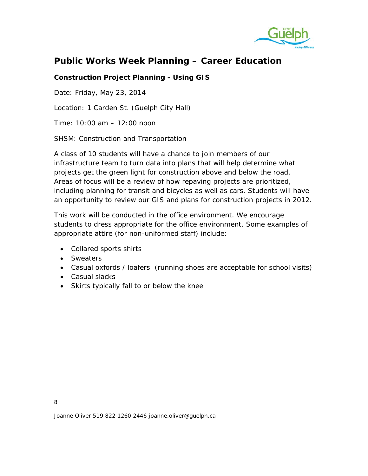

## **Construction Project Planning - Using GIS**

Date: Friday, May 23, 2014

Location: 1 Carden St. (Guelph City Hall)

Time: 10:00 am – 12:00 noon

SHSM: Construction and Transportation

A class of 10 students will have a chance to join members of our infrastructure team to turn data into plans that will help determine what projects get the green light for construction above and below the road. Areas of focus will be a review of how repaving projects are prioritized, including planning for transit and bicycles as well as cars. Students will have an opportunity to review our GIS and plans for construction projects in 2012.

This work will be conducted in the office environment. We encourage students to dress appropriate for the office environment. Some examples of appropriate attire (for non-uniformed staff) include:

- Collared sports shirts
- Sweaters
- Casual oxfords / loafers (running shoes are acceptable for school visits)
- Casual slacks
- Skirts typically fall to or below the knee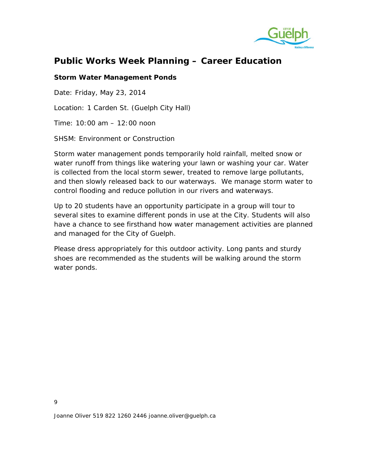

#### **Storm Water Management Ponds**

Date: Friday, May 23, 2014

Location: 1 Carden St. (Guelph City Hall)

Time: 10:00 am – 12:00 noon

SHSM: Environment or Construction

Storm water management ponds temporarily hold rainfall, melted snow or water runoff from things like watering your lawn or washing your car. Water is collected from the local storm sewer, treated to remove large pollutants, and then slowly released back to our waterways. We manage storm water to control flooding and reduce pollution in our rivers and waterways.

Up to 20 students have an opportunity participate in a group will tour to several sites to examine different ponds in use at the City. Students will also have a chance to see firsthand how water management activities are planned and managed for the City of Guelph.

Please dress appropriately for this outdoor activity. Long pants and sturdy shoes are recommended as the students will be walking around the storm water ponds.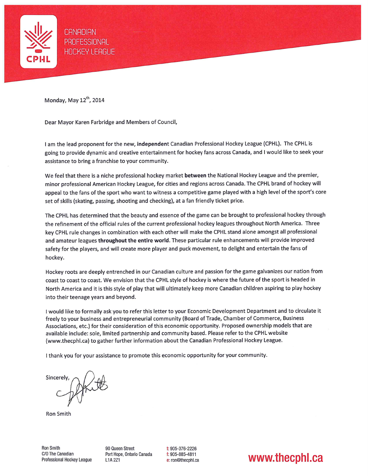

**CANADIAN** PROFESSIONAL **HOCKEY LEAGUE** 

Monday, May 12<sup>th</sup>, 2014

Dear Mayor Karen Farbridge and Members of Council,

I am the lead proponent for the new, independent Canadian Professional Hockey League (CPHL). The CPHL is going to provide dynamic and creative entertainment for hockey fans across Canada, and I would like to seek your assistance to bring a franchise to your community.

We feel that there is a niche professional hockey market between the National Hockey League and the premier, minor professional American Hockey League, for cities and regions across Canada. The CPHL brand of hockey will appeal to the fans of the sport who want to witness a competitive game played with a high level of the sport's core set of skills (skating, passing, shooting and checking), at a fan friendly ticket price.

The CPHL has determined that the beauty and essence of the game can be brought to professional hockey through the refinement of the official rules of the current professional hockey leagues throughout North America. Three key CPHL rule changes in combination with each other will make the CPHL stand alone amongst all professional and amateur leagues throughout the entire world. These particular rule enhancements will provide improved safety for the players, and will create more player and puck movement, to delight and entertain the fans of hockey.

Hockey roots are deeply entrenched in our Canadian culture and passion for the game galvanizes our nation from coast to coast to coast. We envision that the CPHL style of hockey is where the future of the sport is headed in North America and it is this style of play that will ultimately keep more Canadian children aspiring to play hockey into their teenage years and beyond.

I would like to formally ask you to refer this letter to your Economic Development Department and to circulate it freely to your business and entrepreneurial community (Board of Trade, Chamber of Commerce, Business Associations, etc.) for their consideration of this economic opportunity. Proposed ownership models that are available include: sole, limited partnership and community based. Please refer to the CPHL website (www.thecphl.ca) to gather further information about the Canadian Professional Hockey League.

I thank you for your assistance to promote this economic opportunity for your community.

Sincerely

**Ron Smith** 

90 Queen Street Port Hope, Ontario Canada L1A 2Z1

 $t: 905 - 376 - 2226$  $f: 905 - 885 - 4811$ e: ron@thecphl.ca

www.thecphl.ca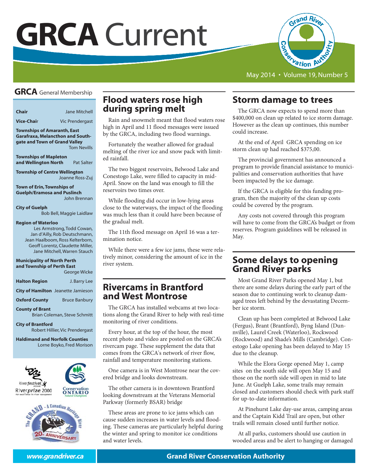# **GRCA** Current



May 2014 • Volume 19, Number 5

# **GRCA** General Membership

**Chair** Jane Mitchell

**Vice-Chai**r **Vic Prendergast** 

**Townships of Amaranth, East Garafraxa, Melancthon and Southgate and Town of Grand Valley** Tom Nevills

**Townships of Mapleton and Wellington North** Pat Salter

**Township of Centre Wellington**  Joanne Ross-Zuj

**Town of Erin, Townships of Guelph/Eramosa and Puslinch** John Brennan

**City of Guelph**

Bob Bell, Maggie Laidlaw

#### **Region of Waterloo**

Les Armstrong, Todd Cowan, Jan d'Ailly, Rob Deutschmann, Jean Haalboom, Ross Kelterborn, Geoff Lorentz, Claudette Miller, Jane Mitchell, Warren Stauch

#### **Municipality of North Perth and Township of Perth East**

|                      | <b>George Wicke</b> |
|----------------------|---------------------|
| <b>Halton Region</b> | J. Barry Lee        |

|  | <b>City of Hamilton</b> Jeanette Jamieson |
|--|-------------------------------------------|
|--|-------------------------------------------|

**Oxford County** Bruce Banbury

**County of Brant**

Brian Coleman, Steve Schmitt

**City of Brantford**  Robert Hillier, Vic Prendergast

**Haldimand and Norfolk Counties**  Lorne Boyko, Fred Morison





# **Flood waters rose high during spring melt**

Rain and snowmelt meant that flood waters rose high in April and 11 flood messages were issued by the GRCA, including two flood warnings.

Fortunately the weather allowed for gradual melting of the river ice and snow pack with limited rainfall.

The two biggest reservoirs, Belwood Lake and Conestogo Lake, were filled to capacity in mid-April. Snow on the land was enough to fill the reservoirs two times over.

While flooding did occur in low-lying areas close to the waterways, the impact of the flooding was much less than it could have been because of the gradual melt.

The 11th flood message on April 16 was a termination notice.

While there were a few ice jams, these were relatively minor, considering the amount of ice in the river system.

# **Rivercams in Brantford and West Montrose**

The GRCA has installed webcams at two locations along the Grand River to help with real-time monitoring of river conditions.

Every hour, at the top of the hour, the most recent photo and video are posted on the GRCA's rivercam page. These supplement the data that comes from the GRCA's network of river flow, rainfall and temperature monitoring stations.

One camera is in West Montrose near the covered bridge and looks downstream.

The other camera is in downtown Brantford looking downstream at the Veterans Memorial Parkway (formerly BSAR) bridge

These areas are prone to ice jams which can cause sudden increases in water levels and flooding. These cameras are particularly helpful during the winter and spring to monitor ice conditions and water levels.

# **Storm damage to trees**

The GRCA now expects to spend more than \$400,000 on clean up related to ice storm damage. However as the clean up continues, this number could increase.

At the end of April GRCA spending on ice storm clean up had reached \$375,00.

The provincial government has announced a program to provide financial assistance to municipalities and conservation authorities that have been impacted by the ice damage.

If the GRCA is eligible for this funding program, then the majority of the clean up costs could be covered by the program.

Any costs not covered through this program will have to come from the GRCA's budget or from reserves. Program guidelines will be released in May.

# **Some delays to opening Grand River parks**

Most Grand River Parks opened May 1, but there are some delays during the early part of the season due to continuing work to cleanup damaged trees left behind by the devastating December ice storm.

Clean up has been completed at Belwood Lake (Fergus), Brant (Brantford), Byng Island (Dunnville), Laurel Creek (Waterloo), Rockwood (Rockwood) and Shade's Mills (Cambridge). Conestogo Lake opening has been delayed to May 15 due to the cleanup.

While the Elora Gorge opened May 1, camp sites on the south side will open May 15 and those on the north side will open in mid to late June. At Guelph Lake, some trails may remain closed and customers should check with park staff for up-to-date information.

At Pinehurst Lake day-use areas, camping areas and the Captain Kidd Trail are open, but other trails will remain closed until further notice.

At all parks, customers should use caution in wooded areas and be alert to hanging or damaged